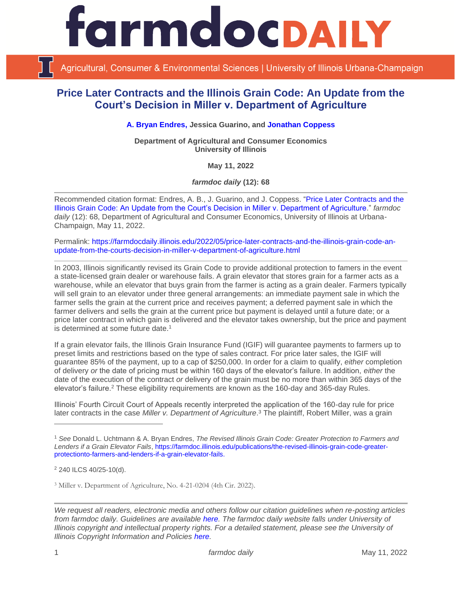

Agricultural, Consumer & Environmental Sciences | University of Illinois Urbana-Champaign

## **Price Later Contracts and the Illinois Grain Code: An Update from the Court's Decision in Miller v. Department of Agriculture**

**[A. Bryan Endres,](https://ace.illinois.edu/directory/bendres) Jessica Guarino, and [Jonathan Coppess](https://ace.illinois.edu/directory/jwcoppes)**

**Department of Agricultural and Consumer Economics University of Illinois**

**May 11, 2022**

*farmdoc daily* **(12): 68**

Recommended citation format: Endres, A. B., J. Guarino, and J. Coppess. ["Price Later Contracts and the](https://farmdocdaily.illinois.edu/2022/05/price-later-contracts-and-the-illinois-grain-code-an-update-from-the-courts-decision-in-miller-v-department-of-agriculture.html)  [Illinois Grain Code: An Update from the Court's Decision in Miller v. Department of Agriculture.](https://farmdocdaily.illinois.edu/2022/05/price-later-contracts-and-the-illinois-grain-code-an-update-from-the-courts-decision-in-miller-v-department-of-agriculture.html)" *farmdoc*  daily (12): 68, Department of Agricultural and Consumer Economics, University of Illinois at Urbana-Champaign, May 11, 2022.

Permalink: [https://farmdocdaily.illinois.edu/2022/05/price-later-contracts-and-the-illinois-grain-code-an](https://farmdocdaily.illinois.edu/2022/05/price-later-contracts-and-the-illinois-grain-code-an-update-from-the-courts-decision-in-miller-v-department-of-agriculture.html)[update-from-the-courts-decision-in-miller-v-department-of-agriculture.html](https://farmdocdaily.illinois.edu/2022/05/price-later-contracts-and-the-illinois-grain-code-an-update-from-the-courts-decision-in-miller-v-department-of-agriculture.html)

In 2003, Illinois significantly revised its Grain Code to provide additional protection to famers in the event a state-licensed grain dealer or warehouse fails. A grain elevator that stores grain for a farmer acts as a warehouse, while an elevator that buys grain from the farmer is acting as a grain dealer. Farmers typically will sell grain to an elevator under three general arrangements: an immediate payment sale in which the farmer sells the grain at the current price and receives payment; a deferred payment sale in which the farmer delivers and sells the grain at the current price but payment is delayed until a future date; or a price later contract in which gain is delivered and the elevator takes ownership, but the price and payment is determined at some future date.<sup>1</sup>

If a grain elevator fails, the Illinois Grain Insurance Fund (IGIF) will guarantee payments to farmers up to preset limits and restrictions based on the type of sales contract. For price later sales, the IGIF will guarantee 85% of the payment, up to a cap of \$250,000. In order for a claim to qualify, *either* completion of delivery *or* the date of pricing must be within 160 days of the elevator's failure. In addition, *either* the date of the execution of the contract *or* delivery of the grain must be no more than within 365 days of the elevator's failure.<sup>2</sup> These eligibility requirements are known as the 160-day and 365-day Rules.

Illinois' Fourth Circuit Court of Appeals recently interpreted the application of the 160-day rule for price later contracts in the case *Miller v. Department of Agriculture*. <sup>3</sup> The plaintiff, Robert Miller, was a grain

<sup>3</sup> Miller v. Department of Agriculture, No. 4-21-0204 (4th Cir. 2022).

<sup>1</sup> *See* Donald L. Uchtmann & A. Bryan Endres, *The Revised Illinois Grain Code: Greater Protection to Farmers and Lenders if a Grain Elevator Fails*[, https://farmdoc.illinois.edu/publications/the-revised-illinois-grain-code-greater](https://farmdoc.illinois.edu/publications/the-revised-illinois-grain-code-greater-protectionto-farmers-and-lenders-if-a-grain-elevator-fails)[protectionto-farmers-and-lenders-if-a-grain-elevator-fails.](https://farmdoc.illinois.edu/publications/the-revised-illinois-grain-code-greater-protectionto-farmers-and-lenders-if-a-grain-elevator-fails)

<sup>2</sup> 240 ILCS 40/25-10(d).

*We request all readers, electronic media and others follow our citation guidelines when re-posting articles from farmdoc daily. Guidelines are available [here.](http://farmdocdaily.illinois.edu/citationguide.html) The farmdoc daily website falls under University of Illinois copyright and intellectual property rights. For a detailed statement, please see the University of Illinois Copyright Information and Policies [here.](http://www.cio.illinois.edu/policies/copyright/)*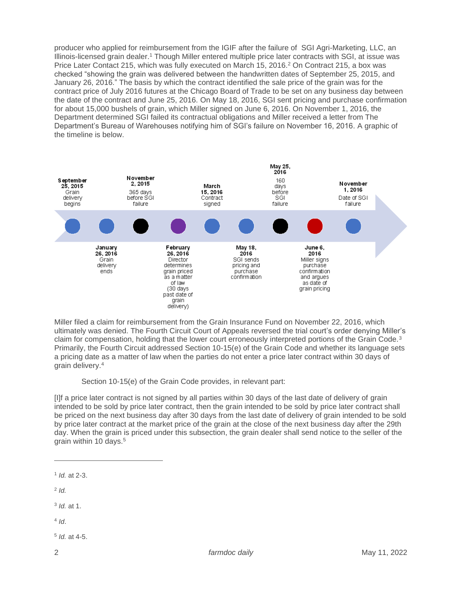producer who applied for reimbursement from the IGIF after the failure of SGI Agri-Marketing, LLC, an Illinois-licensed grain dealer.<sup>1</sup> Though Miller entered multiple price later contracts with SGI, at issue was Price Later Contact 215, which was fully executed on March 15, 2016.<sup>2</sup> On Contract 215, a box was checked "showing the grain was delivered between the handwritten dates of September 25, 2015, and January 26, 2016." The basis by which the contract identified the sale price of the grain was for the contract price of July 2016 futures at the Chicago Board of Trade to be set on any business day between the date of the contract and June 25, 2016. On May 18, 2016, SGI sent pricing and purchase confirmation for about 15,000 bushels of grain, which Miller signed on June 6, 2016. On November 1, 2016, the Department determined SGI failed its contractual obligations and Miller received a letter from The Department's Bureau of Warehouses notifying him of SGI's failure on November 16, 2016. A graphic of the timeline is below.



Miller filed a claim for reimbursement from the Grain Insurance Fund on November 22, 2016, which ultimately was denied. The Fourth Circuit Court of Appeals reversed the trial court's order denying Miller's claim for compensation, holding that the lower court erroneously interpreted portions of the Grain Code.<sup>3</sup> Primarily, the Fourth Circuit addressed Section 10-15(e) of the Grain Code and whether its language sets a pricing date as a matter of law when the parties do not enter a price later contract within 30 days of grain delivery.<sup>4</sup>

Section 10-15(e) of the Grain Code provides, in relevant part:

[I]f a price later contract is not signed by all parties within 30 days of the last date of delivery of grain intended to be sold by price later contract, then the grain intended to be sold by price later contract shall be priced on the next business day after 30 days from the last date of delivery of grain intended to be sold by price later contract at the market price of the grain at the close of the next business day after the 29th day. When the grain is priced under this subsection, the grain dealer shall send notice to the seller of the grain within 10 days.<sup>5</sup>

- 2 *Id.*
- 3 *Id.* at 1.
- 4 *Id*.
- 5 *Id.* at 4-5.

<sup>1</sup> *Id.* at 2-3.